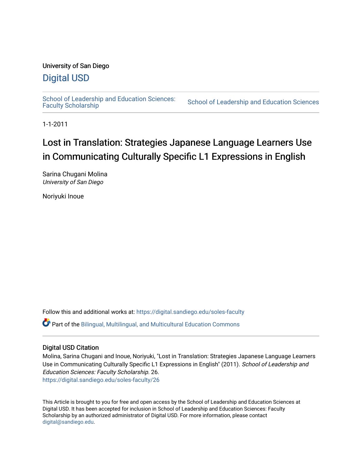## University of San Diego

# [Digital USD](https://digital.sandiego.edu/)

School of Leadership and Education Sciences:<br>Faculty Scholarship

School of Leadership and Education Sciences

1-1-2011

# Lost in Translation: Strategies Japanese Language Learners Use in Communicating Culturally Specific L1 Expressions in English

Sarina Chugani Molina University of San Diego

Noriyuki Inoue

Follow this and additional works at: [https://digital.sandiego.edu/soles-faculty](https://digital.sandiego.edu/soles-faculty?utm_source=digital.sandiego.edu%2Fsoles-faculty%2F26&utm_medium=PDF&utm_campaign=PDFCoverPages) 

Part of the [Bilingual, Multilingual, and Multicultural Education Commons](https://network.bepress.com/hgg/discipline/785?utm_source=digital.sandiego.edu%2Fsoles-faculty%2F26&utm_medium=PDF&utm_campaign=PDFCoverPages) 

## Digital USD Citation

Molina, Sarina Chugani and Inoue, Noriyuki, "Lost in Translation: Strategies Japanese Language Learners Use in Communicating Culturally Specific L1 Expressions in English" (2011). School of Leadership and Education Sciences: Faculty Scholarship. 26. [https://digital.sandiego.edu/soles-faculty/26](https://digital.sandiego.edu/soles-faculty/26?utm_source=digital.sandiego.edu%2Fsoles-faculty%2F26&utm_medium=PDF&utm_campaign=PDFCoverPages) 

This Article is brought to you for free and open access by the School of Leadership and Education Sciences at Digital USD. It has been accepted for inclusion in School of Leadership and Education Sciences: Faculty Scholarship by an authorized administrator of Digital USD. For more information, please contact [digital@sandiego.edu](mailto:digital@sandiego.edu).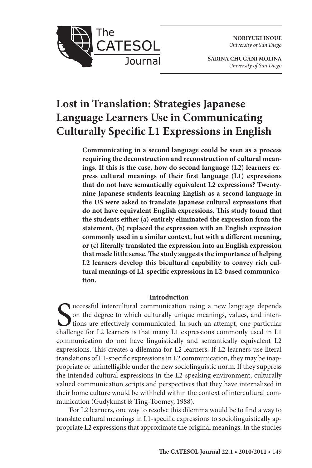**NORIYUKI INOUE** *University of San Diego*



**SARINA CHUGANI MOLINA** *University of San Diego*

# **Lost in Translation: Strategies Japanese Language Learners Use in Communicating Culturally Specific L1 Expressions in English**

**Communicating in a second language could be seen as a process requiring the deconstruction and reconstruction of cultural meanings. If this is the case, how do second language (L2) learners express cultural meanings of their first language (L1) expressions that do not have semantically equivalent L2 expressions? Twentynine Japanese students learning English as a second language in the US were asked to translate Japanese cultural expressions that do not have equivalent English expressions. This study found that the students either (a) entirely eliminated the expression from the statement, (b) replaced the expression with an English expression commonly used in a similar context, but with a different meaning, or (c) literally translated the expression into an English expression that made little sense. The study suggests the importance of helping L2 learners develop this bicultural capability to convey rich cultural meanings of L1-specific expressions in L2-based communication.** 

#### **Introduction**

Successful intercultural communication using a new language depends on the degree to which culturally unique meanings, values, and intentions are effectively communicated. In such an attempt, one particular challenge for L uccessful intercultural communication using a new language depends on the degree to which culturally unique meanings, values, and inten-Itions are effectively communicated. In such an attempt, one particular communication do not have linguistically and semantically equivalent L2 expressions. This creates a dilemma for L2 learners: If L2 learners use literal translations of L1-specific expressions in L2 communication, they may be inappropriate or unintelligible under the new sociolinguistic norm. If they suppress the intended cultural expressions in the L2-speaking environment, culturally valued communication scripts and perspectives that they have internalized in their home culture would be withheld within the context of intercultural communication (Gudykunst & Ting-Toomey, 1988).

For L2 learners, one way to resolve this dilemma would be to find a way to translate cultural meanings in L1-specific expressions to sociolinguistically appropriate L2 expressions that approximate the original meanings. In the studies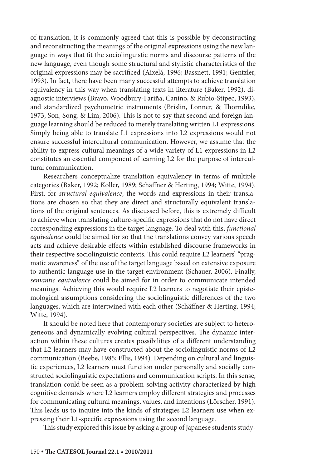of translation, it is commonly agreed that this is possible by deconstructing and reconstructing the meanings of the original expressions using the new language in ways that fit the sociolinguistic norms and discourse patterns of the new language, even though some structural and stylistic characteristics of the original expressions may be sacrificed (Aixelá, 1996; Bassnett, 1991; Gentzler, 1993). In fact, there have been many successful attempts to achieve translation equivalency in this way when translating texts in literature (Baker, 1992), diagnostic interviews (Bravo, Woodbury-Fariña, Canino, & Rubio-Stipec, 1993), and standardized psychometric instruments (Brislin, Lonner, & Thorndike, 1973; Son, Song, & Lim, 2006). This is not to say that second and foreign language learning should be reduced to merely translating written L1 expressions. Simply being able to translate L1 expressions into L2 expressions would not ensure successful intercultural communication. However, we assume that the ability to express cultural meanings of a wide variety of L1 expressions in L2 constitutes an essential component of learning L2 for the purpose of intercultural communication.

Researchers conceptualize translation equivalency in terms of multiple categories (Baker, 1992; Koller, 1989; Schäffner & Herting, 1994; Witte, 1994). First, for *structural equivalence*, the words and expressions in their translations are chosen so that they are direct and structurally equivalent translations of the original sentences. As discussed before, this is extremely difficult to achieve when translating culture-specific expressions that do not have direct corresponding expressions in the target language. To deal with this, *functional equivalence* could be aimed for so that the translations convey various speech acts and achieve desirable effects within established discourse frameworks in their respective sociolinguistic contexts. This could require L2 learners' "pragmatic awareness" of the use of the target language based on extensive exposure to authentic language use in the target environment (Schauer, 2006). Finally, *semantic equivalence* could be aimed for in order to communicate intended meanings. Achieving this would require L2 learners to negotiate their epistemological assumptions considering the sociolinguistic differences of the two languages, which are intertwined with each other (Schäffner & Herting, 1994; Witte, 1994).

It should be noted here that contemporary societies are subject to heterogeneous and dynamically evolving cultural perspectives. The dynamic interaction within these cultures creates possibilities of a different understanding that L2 learners may have constructed about the sociolinguistic norms of L2 communication (Beebe, 1985; Ellis, 1994). Depending on cultural and linguistic experiences, L2 learners must function under personally and socially constructed sociolinguistic expectations and communication scripts. In this sense, translation could be seen as a problem-solving activity characterized by high cognitive demands where L2 learners employ different strategies and processes for communicating cultural meanings, values, and intentions (Lörscher, 1991). This leads us to inquire into the kinds of strategies L2 learners use when expressing their L1-specific expressions using the second language.

This study explored this issue by asking a group of Japanese students study-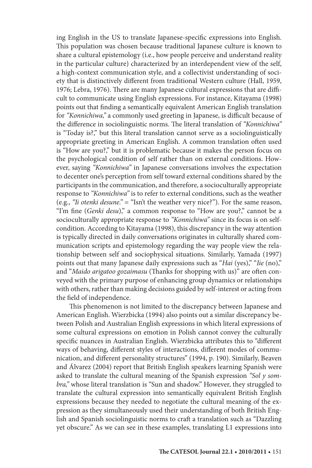ing English in the US to translate Japanese-specific expressions into English. This population was chosen because traditional Japanese culture is known to share a cultural epistemology (i.e., how people perceive and understand reality in the particular culture) characterized by an interdependent view of the self, a high-context communication style, and a collectivist understanding of society that is distinctively different from traditional Western culture (Hall, 1959, 1976; Lebra, 1976). There are many Japanese cultural expressions that are difficult to communicate using English expressions. For instance, Kitayama (1998) points out that finding a semantically equivalent American English translation for *"Konnichiwa,"* a commonly used greeting in Japanese, is difficult because of the difference in sociolinguistic norms. The literal translation of *"Konnichiwa"* is "Today is?," but this literal translation cannot serve as a sociolinguistically appropriate greeting in American English. A common translation often used is "How are you?," but it is problematic because it makes the person focus on the psychological condition of self rather than on external conditions. However, saying *"Konnichiwa"* in Japanese conversations involves the expectation to decenter one's perception from self toward external conditions shared by the participants in the communication, and therefore, a socioculturally appropriate response to *"Konnichiwa"* is to refer to external conditions, such as the weather (e.g., *"Ii otenki desune."* = "Isn't the weather very nice?"). For the same reason, "I'm fine (*Genki desu*)," a common response to "How are you?," cannot be a socioculturally appropriate response to *"Konnichiwa"* since its focus is on selfcondition. According to Kitayama (1998), this discrepancy in the way attention is typically directed in daily conversations originates in culturally shared communication scripts and epistemology regarding the way people view the relationship between self and sociophysical situations. Similarly, Yamada (1997) points out that many Japanese daily expressions such as "*Hai* (yes)," "*Iie* (no)," and "*Maido arigatoo gozaimasu* (Thanks for shopping with us)" are often conveyed with the primary purpose of enhancing group dynamics or relationships with others, rather than making decisions guided by self-interest or acting from the field of independence.

This phenomenon is not limited to the discrepancy between Japanese and American English. Wierzbicka (1994) also points out a similar discrepancy between Polish and Australian English expressions in which literal expressions of some cultural expressions on emotion in Polish cannot convey the culturally specific nuances in Australian English. Wierzbicka attributes this to "different ways of behaving, different styles of interactions, different modes of communication, and different personality structures" (1994, p. 190). Similarly, Beaven and Álvarez (2004) report that British English speakers learning Spanish were asked to translate the cultural meaning of the Spanish expression *"Sol y sombra,"* whose literal translation is "Sun and shadow." However, they struggled to translate the cultural expression into semantically equivalent British English expressions because they needed to negotiate the cultural meaning of the expression as they simultaneously used their understanding of both British English and Spanish sociolinguistic norms to craft a translation such as "Dazzling yet obscure." As we can see in these examples, translating L1 expressions into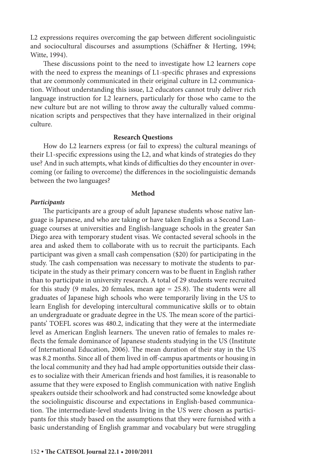L2 expressions requires overcoming the gap between different sociolinguistic and sociocultural discourses and assumptions (Schäffner & Herting, 1994; Witte, 1994).

These discussions point to the need to investigate how L2 learners cope with the need to express the meanings of L1-specific phrases and expressions that are commonly communicated in their original culture in L2 communication. Without understanding this issue, L2 educators cannot truly deliver rich language instruction for L2 learners, particularly for those who came to the new culture but are not willing to throw away the culturally valued communication scripts and perspectives that they have internalized in their original culture.

#### **Research Questions**

How do L2 learners express (or fail to express) the cultural meanings of their L1-specific expressions using the L2, and what kinds of strategies do they use? And in such attempts, what kinds of difficulties do they encounter in overcoming (or failing to overcome) the differences in the sociolinguistic demands between the two languages?

#### **Method**

#### *Participants*

The participants are a group of adult Japanese students whose native language is Japanese, and who are taking or have taken English as a Second Language courses at universities and English-language schools in the greater San Diego area with temporary student visas. We contacted several schools in the area and asked them to collaborate with us to recruit the participants. Each participant was given a small cash compensation (\$20) for participating in the study. The cash compensation was necessary to motivate the students to participate in the study as their primary concern was to be fluent in English rather than to participate in university research. A total of 29 students were recruited for this study (9 males, 20 females, mean age = 25.8). The students were all graduates of Japanese high schools who were temporarily living in the US to learn English for developing intercultural communicative skills or to obtain an undergraduate or graduate degree in the US. The mean score of the participants' TOEFL scores was 480.2, indicating that they were at the intermediate level as American English learners. The uneven ratio of females to males reflects the female dominance of Japanese students studying in the US (Institute of International Education, 2006). The mean duration of their stay in the US was 8.2 months. Since all of them lived in off-campus apartments or housing in the local community and they had had ample opportunities outside their classes to socialize with their American friends and host families, it is reasonable to assume that they were exposed to English communication with native English speakers outside their schoolwork and had constructed some knowledge about the sociolinguistic discourse and expectations in English-based communication. The intermediate-level students living in the US were chosen as participants for this study based on the assumptions that they were furnished with a basic understanding of English grammar and vocabulary but were struggling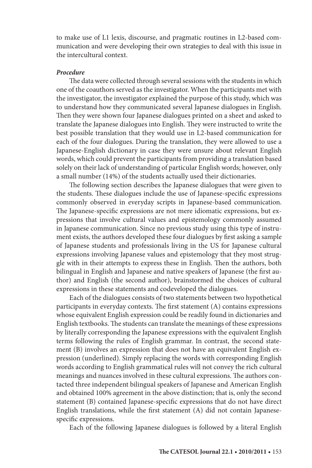to make use of L1 lexis, discourse, and pragmatic routines in L2-based communication and were developing their own strategies to deal with this issue in the intercultural context.

#### *Procedure*

The data were collected through several sessions with the students in which one of the coauthors served as the investigator. When the participants met with the investigator, the investigator explained the purpose of this study, which was to understand how they communicated several Japanese dialogues in English. Then they were shown four Japanese dialogues printed on a sheet and asked to translate the Japanese dialogues into English. They were instructed to write the best possible translation that they would use in L2-based communication for each of the four dialogues. During the translation, they were allowed to use a Japanese-English dictionary in case they were unsure about relevant English words, which could prevent the participants from providing a translation based solely on their lack of understanding of particular English words; however, only a small number (14%) of the students actually used their dictionaries.

The following section describes the Japanese dialogues that were given to the students. These dialogues include the use of Japanese-specific expressions commonly observed in everyday scripts in Japanese-based communication. The Japanese-specific expressions are not mere idiomatic expressions, but expressions that involve cultural values and epistemology commonly assumed in Japanese communication. Since no previous study using this type of instrument exists, the authors developed these four dialogues by first asking a sample of Japanese students and professionals living in the US for Japanese cultural expressions involving Japanese values and epistemology that they most struggle with in their attempts to express these in English. Then the authors, both bilingual in English and Japanese and native speakers of Japanese (the first author) and English (the second author), brainstormed the choices of cultural expressions in these statements and codeveloped the dialogues.

Each of the dialogues consists of two statements between two hypothetical participants in everyday contexts. The first statement (A) contains expressions whose equivalent English expression could be readily found in dictionaries and English textbooks. The students can translate the meanings of these expressions by literally corresponding the Japanese expressions with the equivalent English terms following the rules of English grammar. In contrast, the second statement (B) involves an expression that does not have an equivalent English expression (underlined). Simply replacing the words with corresponding English words according to English grammatical rules will not convey the rich cultural meanings and nuances involved in these cultural expressions. The authors contacted three independent bilingual speakers of Japanese and American English and obtained 100% agreement in the above distinction; that is, only the second statement (B) contained Japanese-specific expressions that do not have direct English translations, while the first statement (A) did not contain Japanesespecific expressions.

Each of the following Japanese dialogues is followed by a literal English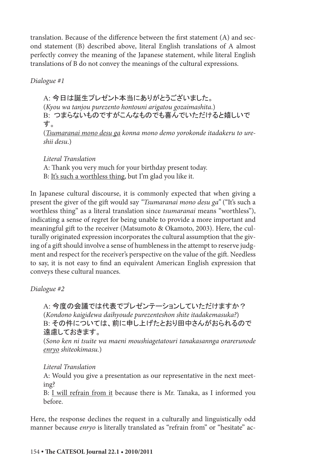translation. Because of the difference between the first statement (A) and second statement (B) described above, literal English translations of A almost perfectly convey the meaning of the Japanese statement, while literal English translations of B do not convey the meanings of the cultural expressions.

*Dialogue #1*

A: 今日は誕生プレゼント本当にありがとうございました。 (*Kyou wa tanjou purezento hontouni arigatou gozaimashita*.) B: つまらないものですがこんなものでも喜んでいただけると嬉しいで す。 (*Tsumaranai mono desu ga konna mono demo yorokonde itadakeru to ure-*

*shii desu*.)

*Literal Translation* A: Thank you very much for your birthday present today. B: It's such a worthless thing, but I'm glad you like it.

In Japanese cultural discourse, it is commonly expected that when giving a present the giver of the gift would say *"Tsumaranai mono desu ga"* ("It's such a worthless thing" as a literal translation since *tsumaranai* means "worthless"), indicating a sense of regret for being unable to provide a more important and meaningful gift to the receiver (Matsumoto & Okamoto, 2003). Here, the culturally originated expression incorporates the cultural assumption that the giving of a gift should involve a sense of humbleness in the attempt to reserve judgment and respect for the receiver's perspective on the value of the gift. Needless to say, it is not easy to find an equivalent American English expression that conveys these cultural nuances.

*Dialogue #2*

A: 今度の会議では代表でプレゼンテーションしていただけますか? (*Kondono kaigidewa daihyoude purezenteshon shite itadakemasuka?*) B: その件については、前に申し上げたとおり田中さんがおられるので 遠慮しておきます。

(*Sono ken ni tsuite wa maeni moushiagetatouri tanakasannga orarerunode enryo shiteokimasu.*)

## *Literal Translation*

A: Would you give a presentation as our representative in the next meeting?

B: I will refrain from it because there is Mr. Tanaka, as I informed you before.

Here, the response declines the request in a culturally and linguistically odd manner because *enryo* is literally translated as "refrain from" or "hesitate" ac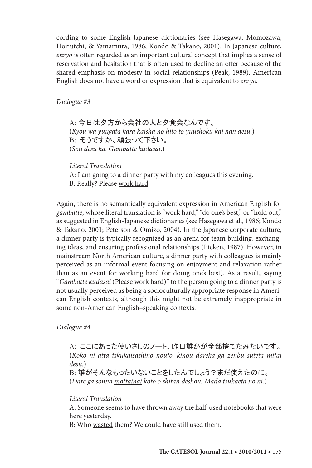cording to some English-Japanese dictionaries (see Hasegawa, Momozawa, Horiutchi, & Yamamura, 1986; Kondo & Takano, 2001). In Japanese culture, *enryo* is often regarded as an important cultural concept that implies a sense of reservation and hesitation that is often used to decline an offer because of the shared emphasis on modesty in social relationships (Peak, 1989). American English does not have a word or expression that is equivalent to *enryo.*

*Dialogue #3*

A: 今日は夕方から会社の人と夕食会なんです。 (*Kyou wa yuugata kara kaisha no hito to yuushoku kai nan desu*.) B: そうですか、頑張って下さい。 (*Sou desu ka. Gambatte kudasai*.)

*Literal Translation* A: I am going to a dinner party with my colleagues this evening. B: Really? Please work hard.

Again, there is no semantically equivalent expression in American English for *gambatte,* whose literal translation is "work hard," "do one's best," or "hold out," as suggested in English-Japanese dictionaries (see Hasegawa et al., 1986; Kondo & Takano, 2001; Peterson & Omizo, 2004). In the Japanese corporate culture, a dinner party is typically recognized as an arena for team building, exchanging ideas, and ensuring professional relationships (Picken, 1987). However, in mainstream North American culture, a dinner party with colleagues is mainly perceived as an informal event focusing on enjoyment and relaxation rather than as an event for working hard (or doing one's best). As a result, saying "*Gambatte kudasai* (Please work hard)" to the person going to a dinner party is not usually perceived as being a socioculturally appropriate response in American English contexts, although this might not be extremely inappropriate in some non-American English–speaking contexts.

#### *Dialogue #4*

A: ここにあった使いさしのノート、昨日誰かが全部捨てたみたいです。 (*Koko ni atta tskukaisashino nouto, kinou dareka ga zenbu suteta mitai desu.*) B: 誰がそんなもったいないことをしたんでしょう?まだ使えたのに。 (*Dare ga sonna mottainai koto o shitan deshou. Mada tsukaeta no ni.*)

*Literal Translation*

A: Someone seems to have thrown away the half-used notebooks that were here yesterday.

B: Who wasted them? We could have still used them.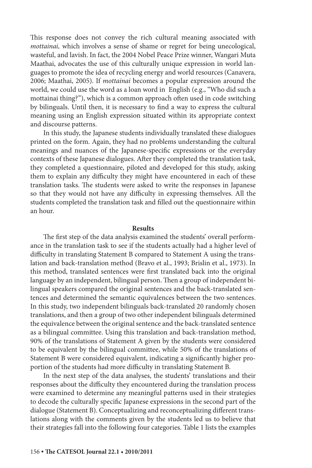This response does not convey the rich cultural meaning associated with *mottainai,* which involves a sense of shame or regret for being unecological, wasteful, and lavish. In fact, the 2004 Nobel Peace Prize winner, Wangari Muta Maathai, advocates the use of this culturally unique expression in world languages to promote the idea of recycling energy and world resources (Canavera, 2006; Maathai, 2005). If *mottainai* becomes a popular expression around the world, we could use the word as a loan word in English (e.g., "Who did such a mottainai thing?"), which is a common approach often used in code switching by bilinguals. Until then, it is necessary to find a way to express the cultural meaning using an English expression situated within its appropriate context and discourse patterns.

In this study, the Japanese students individually translated these dialogues printed on the form. Again, they had no problems understanding the cultural meanings and nuances of the Japanese-specific expressions or the everyday contexts of these Japanese dialogues. After they completed the translation task, they completed a questionnaire, piloted and developed for this study, asking them to explain any difficulty they might have encountered in each of these translation tasks. The students were asked to write the responses in Japanese so that they would not have any difficulty in expressing themselves. All the students completed the translation task and filled out the questionnaire within an hour.

#### **Results**

The first step of the data analysis examined the students' overall performance in the translation task to see if the students actually had a higher level of difficulty in translating Statement B compared to Statement A using the translation and back-translation method (Bravo et al., 1993; Brislin et al., 1973). In this method, translated sentences were first translated back into the original language by an independent, bilingual person. Then a group of independent bilingual speakers compared the original sentences and the back-translated sentences and determined the semantic equivalences between the two sentences. In this study, two independent bilinguals back-translated 20 randomly chosen translations, and then a group of two other independent bilinguals determined the equivalence between the original sentence and the back-translated sentence as a bilingual committee. Using this translation and back-translation method, 90% of the translations of Statement A given by the students were considered to be equivalent by the bilingual committee, while 50% of the translations of Statement B were considered equivalent, indicating a significantly higher proportion of the students had more difficulty in translating Statement B.

In the next step of the data analyses, the students' translations and their responses about the difficulty they encountered during the translation process were examined to determine any meaningful patterns used in their strategies to decode the culturally specific Japanese expressions in the second part of the dialogue (Statement B). Conceptualizing and reconceptualizing different translations along with the comments given by the students led us to believe that their strategies fall into the following four categories. Table 1 lists the examples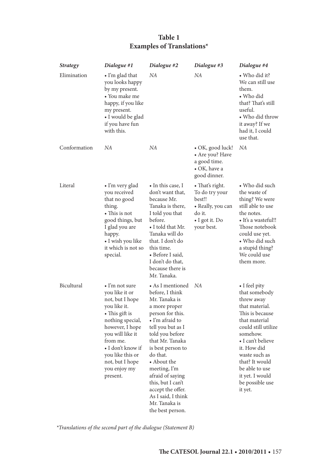### **Table 1 Examples of Translations\***

| <b>Strategy</b> | Dialogue #1                                                                                                                                                                                                                                                  | Dialogue #2                                                                                                                                                                                                                                                                                                                                                      | Dialogue #3                                                                                                | Dialogue #4                                                                                                                                                                                                                                                                     |
|-----------------|--------------------------------------------------------------------------------------------------------------------------------------------------------------------------------------------------------------------------------------------------------------|------------------------------------------------------------------------------------------------------------------------------------------------------------------------------------------------------------------------------------------------------------------------------------------------------------------------------------------------------------------|------------------------------------------------------------------------------------------------------------|---------------------------------------------------------------------------------------------------------------------------------------------------------------------------------------------------------------------------------------------------------------------------------|
| Elimination     | • I'm glad that<br>you looks happy<br>by my present.<br>• You make me<br>happy, if you like<br>my present.<br>• I would be glad<br>if you have fun<br>with this.                                                                                             | NΑ                                                                                                                                                                                                                                                                                                                                                               | NA                                                                                                         | • Who did it?<br>We can still use<br>them.<br>• Who did<br>that? That's still<br>useful.<br>• Who did throw<br>it away? If we<br>had it, I could<br>use that.                                                                                                                   |
| Conformation    | NA                                                                                                                                                                                                                                                           | NA                                                                                                                                                                                                                                                                                                                                                               | $\bullet$ OK, good luck!<br>• Are you? Have<br>a good time.<br>• OK, have a<br>good dinner.                | NA                                                                                                                                                                                                                                                                              |
| Literal         | • I'm very glad<br>you received<br>that no good<br>thing.<br>• This is not<br>good things, but<br>I glad you are<br>happy.<br>• I wish you like<br>it which is not so<br>special.                                                                            | • In this case, I<br>don't want that,<br>because Mr.<br>Tanaka is there,<br>I told you that<br>before.<br>• I told that Mr.<br>Tanaka will do<br>that. I don't do<br>this time.<br>• Before I said,<br>I don't do that,<br>because there is<br>Mr. Tanaka.                                                                                                       | • That's right.<br>To do try your<br>best!!<br>• Really, you can<br>do it.<br>• I got it. Do<br>your best. | • Who did such<br>the waste of<br>thing? We were<br>still able to use<br>the notes.<br>• It's a wasteful!!<br>Those notebook<br>could use yet.<br>• Who did such<br>a stupid thing?<br>We could use<br>them more.                                                               |
| Bicultural      | $\bullet$ I'm not sure<br>you like it or<br>not, but I hope<br>you like it.<br>• This gift is<br>nothing special,<br>however, I hope<br>you will like it<br>from me.<br>• I don't know if<br>you like this or<br>not, but I hope<br>you enjoy my<br>present. | • As I mentioned<br>before, I think<br>Mr. Tanaka is<br>a more proper<br>person for this.<br>• I'm afraid to<br>tell you but as I<br>told you before<br>that Mr. Tanaka<br>is best person to<br>do that.<br>• About the<br>meeting, I'm<br>afraid of saying<br>this, but I can't<br>accept the offer.<br>As I said, I think<br>Mr. Tanaka is<br>the best person. | NA                                                                                                         | • I feel pity<br>that somebody<br>threw away<br>that material.<br>This is because<br>that material<br>could still utilize<br>somehow.<br>• I can't believe<br>it. How did<br>waste such as<br>that? It would<br>be able to use<br>it yet. I would<br>be possible use<br>it yet. |

*\*Translations of the second part of the dialogue (Statement B)*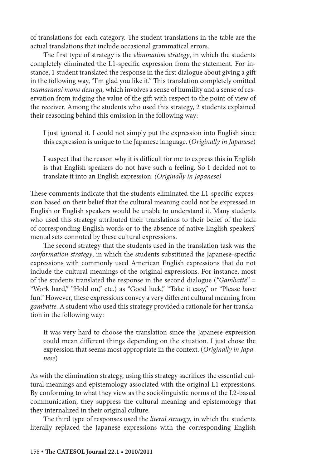of translations for each category. The student translations in the table are the actual translations that include occasional grammatical errors.

The first type of strategy is the *elimination strategy*, in which the students completely eliminated the L1-specific expression from the statement. For instance, 1 student translated the response in the first dialogue about giving a gift in the following way, "I'm glad you like it." This translation completely omitted *tsumaranai mono desu ga,* which involves a sense of humility and a sense of reservation from judging the value of the gift with respect to the point of view of the receiver. Among the students who used this strategy, 2 students explained their reasoning behind this omission in the following way:

I just ignored it. I could not simply put the expression into English since this expression is unique to the Japanese language. (*Originally in Japanese*)

I suspect that the reason why it is difficult for me to express this in English is that English speakers do not have such a feeling. So I decided not to translate it into an English expression. *(Originally in Japanese)*

These comments indicate that the students eliminated the L1-specific expression based on their belief that the cultural meaning could not be expressed in English or English speakers would be unable to understand it. Many students who used this strategy attributed their translations to their belief of the lack of corresponding English words or to the absence of native English speakers' mental sets connoted by these cultural expressions.

The second strategy that the students used in the translation task was the *conformation strategy*, in which the students substituted the Japanese-specific expressions with commonly used American English expressions that do not include the cultural meanings of the original expressions. For instance, most of the students translated the response in the second dialogue (*"Gambatte"* = "Work hard," "Hold on," etc.) as "Good luck," "Take it easy," or "Please have fun." However, these expressions convey a very different cultural meaning from *gambatte.* A student who used this strategy provided a rationale for her translation in the following way:

It was very hard to choose the translation since the Japanese expression could mean different things depending on the situation. I just chose the expression that seems most appropriate in the context. (*Originally in Japanese*)

As with the elimination strategy, using this strategy sacrifices the essential cultural meanings and epistemology associated with the original L1 expressions. By conforming to what they view as the sociolinguistic norms of the L2-based communication, they suppress the cultural meaning and epistemology that they internalized in their original culture.

The third type of responses used the *literal strategy*, in which the students literally replaced the Japanese expressions with the corresponding English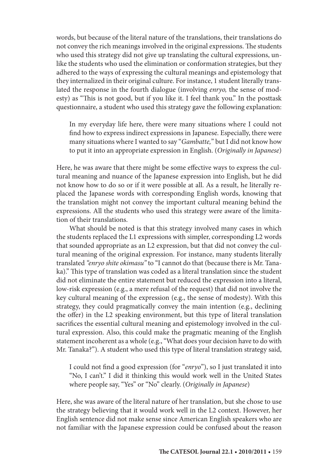words, but because of the literal nature of the translations, their translations do not convey the rich meanings involved in the original expressions. The students who used this strategy did not give up translating the cultural expressions, unlike the students who used the elimination or conformation strategies, but they adhered to the ways of expressing the cultural meanings and epistemology that they internalized in their original culture. For instance, 1 student literally translated the response in the fourth dialogue (involving *enryo,* the sense of modesty) as "This is not good, but if you like it. I feel thank you." In the posttask questionnaire, a student who used this strategy gave the following explanation:

In my everyday life here, there were many situations where I could not find how to express indirect expressions in Japanese. Especially, there were many situations where I wanted to say "*Gambatte,*" but I did not know how to put it into an appropriate expression in English. (*Originally in Japanese*)

Here, he was aware that there might be some effective ways to express the cultural meaning and nuance of the Japanese expression into English, but he did not know how to do so or if it were possible at all. As a result, he literally replaced the Japanese words with corresponding English words, knowing that the translation might not convey the important cultural meaning behind the expressions. All the students who used this strategy were aware of the limitation of their translations.

What should be noted is that this strategy involved many cases in which the students replaced the L1 expressions with simpler, corresponding L2 words that sounded appropriate as an L2 expression, but that did not convey the cultural meaning of the original expression. For instance, many students literally translated *"enryo shite okimasu"* to "I cannot do that (because there is Mr. Tanaka)." This type of translation was coded as a literal translation since the student did not eliminate the entire statement but reduced the expression into a literal, low-risk expression (e.g., a mere refusal of the request) that did not involve the key cultural meaning of the expression (e.g., the sense of modesty). With this strategy, they could pragmatically convey the main intention (e.g., declining the offer) in the L2 speaking environment, but this type of literal translation sacrifices the essential cultural meaning and epistemology involved in the cultural expression. Also, this could make the pragmatic meaning of the English statement incoherent as a whole (e.g., "What does your decision have to do with Mr. Tanaka?"). A student who used this type of literal translation strategy said,

I could not find a good expression (for "*enryo*"), so I just translated it into "No, I can't." I did it thinking this would work well in the United States where people say, "Yes" or "No" clearly. (*Originally in Japanese*)

Here, she was aware of the literal nature of her translation, but she chose to use the strategy believing that it would work well in the L2 context. However, her English sentence did not make sense since American English speakers who are not familiar with the Japanese expression could be confused about the reason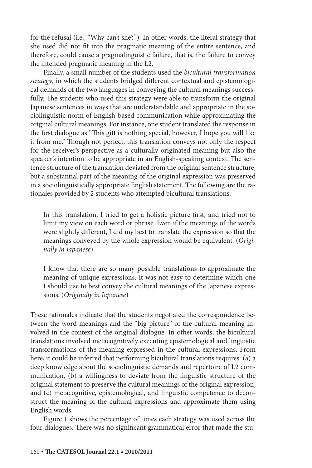for the refusal (i.e., "Why can't she?"). In other words, the literal strategy that she used did not fit into the pragmatic meaning of the entire sentence, and therefore, could cause a pragmalinguistic failure, that is, the failure to convey the intended pragmatic meaning in the L2.

Finally, a small number of the students used the *bicultural transformation strategy*, in which the students bridged different contextual and epistemological demands of the two languages in conveying the cultural meanings successfully. The students who used this strategy were able to transform the original Japanese sentences in ways that are understandable and appropriate in the sociolinguistic norm of English-based communication while approximating the original cultural meanings. For instance, one student translated the response in the first dialogue as "This gift is nothing special, however, I hope you will like it from me." Though not perfect, this translation conveys not only the respect for the receiver's perspective as a culturally originated meaning but also the speaker's intention to be appropriate in an English-speaking context. The sentence structure of the translation deviated from the original sentence structure, but a substantial part of the meaning of the original expression was preserved in a sociolinguistically appropriate English statement. The following are the rationales provided by 2 students who attempted bicultural translations.

In this translation, I tried to get a holistic picture first, and tried not to limit my view on each word or phrase. Even if the meanings of the words were slightly different, I did my best to translate the expression so that the meanings conveyed by the whole expression would be equivalent. (*Originally in Japanese*)

I know that there are so many possible translations to approximate the meaning of unique expressions. It was not easy to determine which one I should use to best convey the cultural meanings of the Japanese expressions. (*Originally in Japanese*)

These rationales indicate that the students negotiated the correspondence between the word meanings and the "big picture" of the cultural meaning involved in the context of the original dialogue. In other words, the bicultural translations involved metacognitively executing epistemological and linguistic transformations of the meaning expressed in the cultural expressions. From here, it could be inferred that performing bicultural translations requires: (a) a deep knowledge about the sociolinguistic demands and repertoire of L2 communication, (b) a willingness to deviate from the linguistic structure of the original statement to preserve the cultural meanings of the original expression, and (c) metacognitive, epistemological, and linguistic competence to deconstruct the meaning of the cultural expressions and approximate them using English words.

Figure 1 shows the percentage of times each strategy was used across the four dialogues. There was no significant grammatical error that made the stu-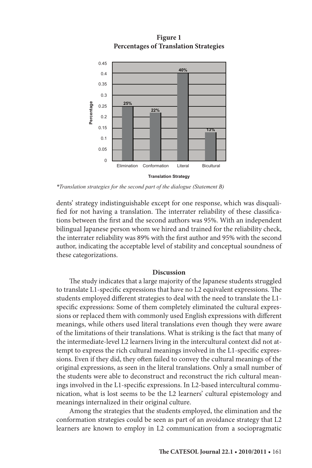

**Figure 1 Percentages of Translation Strategies**

*\*Translation strategies for the second part of the dialogue (Statement B)*

dents' strategy indistinguishable except for one response, which was disqualified for not having a translation. The interrater reliability of these classifications between the first and the second authors was 95%. With an independent bilingual Japanese person whom we hired and trained for the reliability check, the interrater reliability was 89% with the first author and 95% with the second author, indicating the acceptable level of stability and conceptual soundness of these categorizations.

#### **Discussion**

The study indicates that a large majority of the Japanese students struggled to translate L1-specific expressions that have no L2 equivalent expressions. The students employed different strategies to deal with the need to translate the L1 specific expressions: Some of them completely eliminated the cultural expressions or replaced them with commonly used English expressions with different meanings, while others used literal translations even though they were aware of the limitations of their translations. What is striking is the fact that many of the intermediate-level L2 learners living in the intercultural context did not attempt to express the rich cultural meanings involved in the L1-specific expressions. Even if they did, they often failed to convey the cultural meanings of the original expressions, as seen in the literal translations. Only a small number of the students were able to deconstruct and reconstruct the rich cultural meanings involved in the L1-specific expressions. In L2-based intercultural communication, what is lost seems to be the L2 learners' cultural epistemology and meanings internalized in their original culture.

Among the strategies that the students employed, the elimination and the conformation strategies could be seen as part of an avoidance strategy that L2 learners are known to employ in L2 communication from a sociopragmatic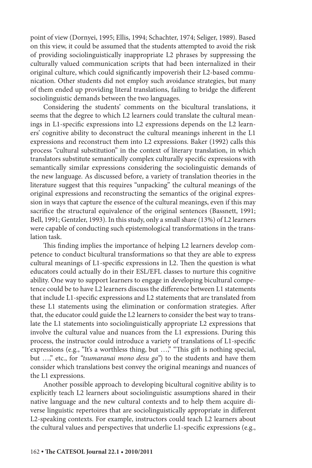point of view (Dornyei, 1995; Ellis, 1994; Schachter, 1974; Seliger, 1989). Based on this view, it could be assumed that the students attempted to avoid the risk of providing sociolinguistically inappropriate L2 phrases by suppressing the culturally valued communication scripts that had been internalized in their original culture, which could significantly impoverish their L2-based communication. Other students did not employ such avoidance strategies, but many of them ended up providing literal translations, failing to bridge the different sociolinguistic demands between the two languages.

Considering the students' comments on the bicultural translations, it seems that the degree to which L2 learners could translate the cultural meanings in L1-specific expressions into L2 expressions depends on the L2 learners' cognitive ability to deconstruct the cultural meanings inherent in the L1 expressions and reconstruct them into L2 expressions. Baker (1992) calls this process "cultural substitution" in the context of literary translation, in which translators substitute semantically complex culturally specific expressions with semantically similar expressions considering the sociolinguistic demands of the new language. As discussed before, a variety of translation theories in the literature suggest that this requires "unpacking" the cultural meanings of the original expressions and reconstructing the semantics of the original expression in ways that capture the essence of the cultural meanings, even if this may sacrifice the structural equivalence of the original sentences (Bassnett, 1991; Bell, 1991; Gentzler, 1993). In this study, only a small share (13%) of L2 learners were capable of conducting such epistemological transformations in the translation task.

This finding implies the importance of helping L2 learners develop competence to conduct bicultural transformations so that they are able to express cultural meanings of L1-specific expressions in L2. Then the question is what educators could actually do in their ESL/EFL classes to nurture this cognitive ability. One way to support learners to engage in developing bicultural competence could be to have L2 learners discuss the difference between L1 statements that include L1-specific expressions and L2 statements that are translated from these L1 statements using the elimination or conformation strategies. After that, the educator could guide the L2 learners to consider the best way to translate the L1 statements into sociolinguistically appropriate L2 expressions that involve the cultural value and nuances from the L1 expressions. During this process, the instructor could introduce a variety of translations of L1-specific expressions (e.g., "It's a worthless thing, but …," "This gift is nothing special, but …," etc., for *"tsumaranai mono desu ga"*) to the students and have them consider which translations best convey the original meanings and nuances of the L1 expressions.

Another possible approach to developing bicultural cognitive ability is to explicitly teach L2 learners about sociolinguistic assumptions shared in their native language and the new cultural contexts and to help them acquire diverse linguistic repertoires that are sociolinguistically appropriate in different L2-speaking contexts. For example, instructors could teach L2 learners about the cultural values and perspectives that underlie L1-specific expressions (e.g.,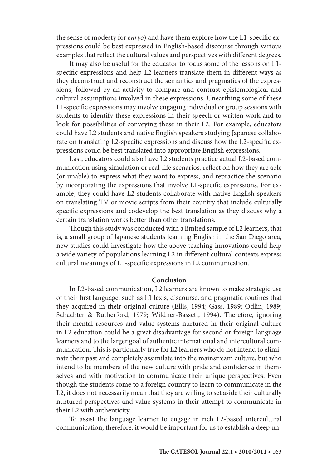the sense of modesty for *enryo*) and have them explore how the L1-specific expressions could be best expressed in English-based discourse through various examples that reflect the cultural values and perspectives with different degrees.

It may also be useful for the educator to focus some of the lessons on L1 specific expressions and help L2 learners translate them in different ways as they deconstruct and reconstruct the semantics and pragmatics of the expressions, followed by an activity to compare and contrast epistemological and cultural assumptions involved in these expressions. Unearthing some of these L1-specific expressions may involve engaging individual or group sessions with students to identify these expressions in their speech or written work and to look for possibilities of conveying these in their L2. For example, educators could have L2 students and native English speakers studying Japanese collaborate on translating L2-specific expressions and discuss how the L2-specific expressions could be best translated into appropriate English expressions.

Last, educators could also have L2 students practice actual L2-based communication using simulation or real-life scenarios, reflect on how they are able (or unable) to express what they want to express, and repractice the scenario by incorporating the expressions that involve L1-specific expressions. For example, they could have L2 students collaborate with native English speakers on translating TV or movie scripts from their country that include culturally specific expressions and codevelop the best translation as they discuss why a certain translation works better than other translations.

Though this study was conducted with a limited sample of L2 learners, that is, a small group of Japanese students learning English in the San Diego area, new studies could investigate how the above teaching innovations could help a wide variety of populations learning L2 in different cultural contexts express cultural meanings of L1-specific expressions in L2 communication.

#### **Conclusion**

In L2-based communication, L2 learners are known to make strategic use of their first language, such as L1 lexis, discourse, and pragmatic routines that they acquired in their original culture (Ellis, 1994; Gass, 1989; Odlin, 1989; Schachter & Rutherford, 1979; Wildner-Bassett, 1994). Therefore, ignoring their mental resources and value systems nurtured in their original culture in L2 education could be a great disadvantage for second or foreign language learners and to the larger goal of authentic international and intercultural communication. This is particularly true for L2 learners who do not intend to eliminate their past and completely assimilate into the mainstream culture, but who intend to be members of the new culture with pride and confidence in themselves and with motivation to communicate their unique perspectives. Even though the students come to a foreign country to learn to communicate in the L2, it does not necessarily mean that they are willing to set aside their culturally nurtured perspectives and value systems in their attempt to communicate in their L2 with authenticity.

To assist the language learner to engage in rich L2-based intercultural communication, therefore, it would be important for us to establish a deep un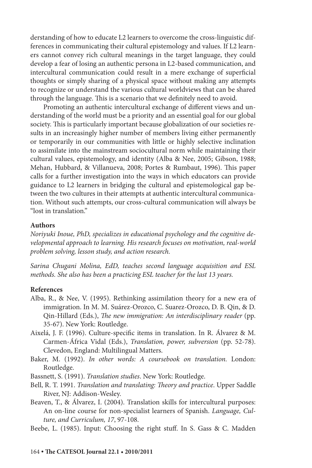derstanding of how to educate L2 learners to overcome the cross-linguistic differences in communicating their cultural epistemology and values. If L2 learners cannot convey rich cultural meanings in the target language, they could develop a fear of losing an authentic persona in L2-based communication, and intercultural communication could result in a mere exchange of superficial thoughts or simply sharing of a physical space without making any attempts to recognize or understand the various cultural worldviews that can be shared through the language. This is a scenario that we definitely need to avoid.

Promoting an authentic intercultural exchange of different views and understanding of the world must be a priority and an essential goal for our global society. This is particularly important because globalization of our societies results in an increasingly higher number of members living either permanently or temporarily in our communities with little or highly selective inclination to assimilate into the mainstream sociocultural norm while maintaining their cultural values, epistemology, and identity (Alba & Nee, 2005; Gibson, 1988; Mehan, Hubbard, & Villanueva, 2008; Portes & Rumbaut, 1996). This paper calls for a further investigation into the ways in which educators can provide guidance to L2 learners in bridging the cultural and epistemological gap between the two cultures in their attempts at authentic intercultural communication. Without such attempts, our cross-cultural communication will always be "lost in translation."

#### **Authors**

*Noriyuki Inoue, PhD, specializes in educational psychology and the cognitive developmental approach to learning. His research focuses on motivation, real-world problem solving, lesson study, and action research.*

*Sarina Chugani Molina, EdD, teaches second language acquisition and ESL methods. She also has been a practicing ESL teacher for the last 13 years.*

#### **References**

- Alba, R., & Nee, V. (1995). Rethinking assimilation theory for a new era of immigration. In M. M. Suárez-Orozco, C. Suarez-Orozco, D. B. Qin, & D. Qin-Hillard (Eds.), *The new immigration: An interdisciplinary reader* (pp. 35-67). New York: Routledge.
- Aixelá, J. F. (1996). Culture-specific items in translation. In R. Álvarez & M. Carmen-África Vidal (Eds.), *Translation, power, subversion* (pp. 52-78). Clevedon, England: Multilingual Matters.
- Baker, M. (1992). *In other words: A coursebook on translation.* London: Routledge.
- Bassnett, S. (1991). *Translation studies*. New York: Routledge.
- Bell, R. T. 1991. *Translation and translating: Theory and practice*. Upper Saddle River, NJ: Addison-Wesley.
- Beaven, T., & Álvarez, I. (2004). Translation skills for intercultural purposes: An on-line course for non-specialist learners of Spanish. *Language, Culture, and Curriculum, 17*, 97-108.
- Beebe, L. (1985). Input: Choosing the right stuff. In S. Gass & C. Madden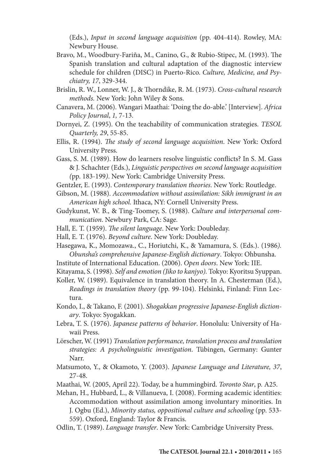(Eds.), *Input in second language acquisition* (pp. 404-414). Rowley, MA: Newbury House.

- Bravo, M., Woodbury-Fariña, M., Canino, G., & Rubio-Stipec, M. (1993). The Spanish translation and cultural adaptation of the diagnostic interview schedule for children (DISC) in Puerto-Rico. *Culture, Medicine, and Psychiatry, 17*, 329-344.
- Brislin, R. W., Lonner, W. J., & Thorndike, R. M. (1973). *Cross-cultural research methods.* New York: John Wiley & Sons.
- Canavera, M. (2006). Wangari Maathai: 'Doing the do-able.' [Interview]. *Africa Policy Journal*, *1,* 7-13.
- Dornyei, Z. (1995). On the teachability of communication strategies. *TESOL Quarterly, 29*, 55-85.
- Ellis, R. (1994). *The study of second language acquisition*. New York: Oxford University Press.
- Gass, S. M. (1989). How do learners resolve linguistic conflicts? In S. M. Gass & J. Schachter (Eds.), *Linguistic perspectives on second language acquisition (*pp. 183-199*)*. New York: Cambridge University Press.
- Gentzler, E. (1993). *Contemporary translation theories*. New York: Routledge.
- Gibson, M. (1988). *Accommodation without assimilation: Sikh immigrant in an American high school.* Ithaca, NY: Cornell University Press.
- Gudykunst, W. B., & Ting-Toomey, S. (1988). *Culture and interpersonal communication*. Newbury Park, CA: Sage.
- Hall, E. T. (1959). *The silent language*. New York: Doubleday.
- Hall, E. T. (1976). *Beyond culture*. New York: Doubleday.
- Hasegawa, K., Momozawa., C., Horiutchi, K., & Yamamura, S. (Eds.). (1986*). Obunsha's comprehensive Japanese-English dictionary*. Tokyo: Ohbunsha.
- Institute of International Education. (2006). *Open doors*. New York: IIE.
- Kitayama, S. (1998). *Self and emotion (Jiko to kanjyo).* Tokyo: Kyoritsu Syuppan.
- Koller, W. (1989). Equivalence in translation theory. In A. Chesterman (Ed.), *Readings in translation theory* (pp. 99-104). Helsinki, Finland: Finn Lectura.
- Kondo, I., & Takano, F. (2001). *Shogakkan progressive Japanese-English dictionary*. Tokyo: Syogakkan.
- Lebra, T. S. (1976). *Japanese patterns of behavior*. Honolulu: University of Hawaii Press.
- Lörscher, W. (1991) *Translation performance, translation process and translation strategies: A psycholinguistic investigation*. Tübingen, Germany: Gunter Narr.
- Matsumoto, Y., & Okamoto, Y. (2003). *Japanese Language and Literature, 37*, 27-48.
- Maathai, W. (2005, April 22). Today, be a hummingbird. *Toronto Star*, p. A25.
- Mehan, H., Hubbard, L., & Villanueva, I. (2008). Forming academic identities: Accommodation without assimilation among involuntary minorities. In J. Ogbu (Ed.), *Minority status, oppositional culture and schooling* (pp. 533- 559). Oxford, England: Taylor & Francis.
- Odlin, T. (1989). *Language transfer*. New York: Cambridge University Press.